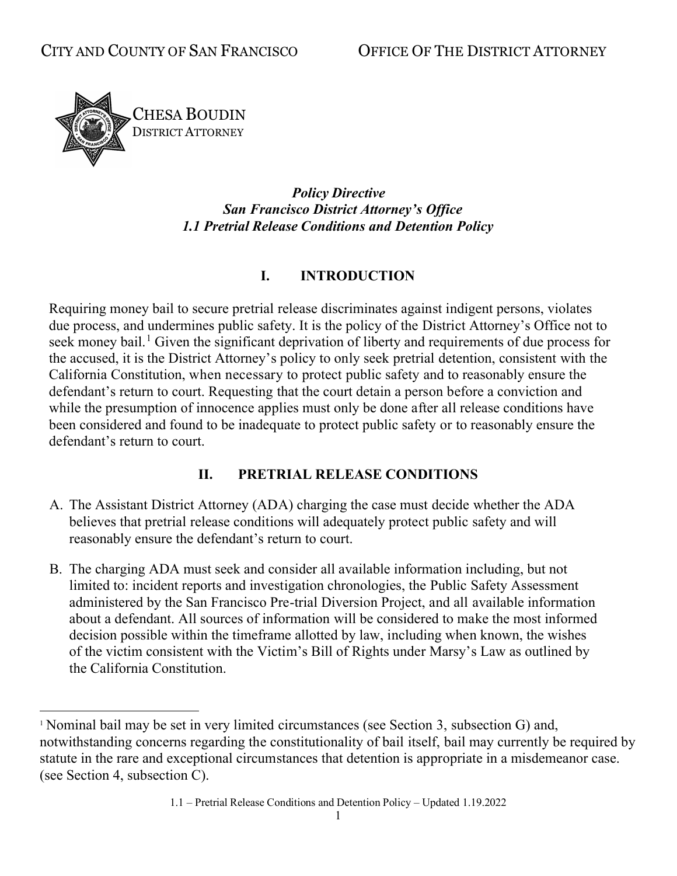

*Policy Directive San Francisco District Attorney's Office 1.1 Pretrial Release Conditions and Detention Policy*

### **I. INTRODUCTION**

Requiring money bail to secure pretrial release discriminates against indigent persons, violates due process, and undermines public safety. It is the policy of the District Attorney's Office not to seek money bail.<sup>[1](#page-0-0)</sup> Given the significant deprivation of liberty and requirements of due process for the accused, it is the District Attorney's policy to only seek pretrial detention, consistent with the California Constitution, when necessary to protect public safety and to reasonably ensure the defendant's return to court. Requesting that the court detain a person before a conviction and while the presumption of innocence applies must only be done after all release conditions have been considered and found to be inadequate to protect public safety or to reasonably ensure the defendant's return to court.

#### **II. PRETRIAL RELEASE CONDITIONS**

- A. The Assistant District Attorney (ADA) charging the case must decide whether the ADA believes that pretrial release conditions will adequately protect public safety and will reasonably ensure the defendant's return to court.
- B. The charging ADA must seek and consider all available information including, but not limited to: incident reports and investigation chronologies, the Public Safety Assessment administered by the San Francisco Pre-trial Diversion Project, and all available information about a defendant. All sources of information will be considered to make the most informed decision possible within the timeframe allotted by law, including when known, the wishes of the victim consistent with the Victim's Bill of Rights under Marsy's Law as outlined by the California Constitution.

<span id="page-0-0"></span><sup>&</sup>lt;sup>1</sup> Nominal bail may be set in very limited circumstances (see Section 3, subsection G) and, notwithstanding concerns regarding the constitutionality of bail itself, bail may currently be required by statute in the rare and exceptional circumstances that detention is appropriate in a misdemeanor case. (see Section 4, subsection C).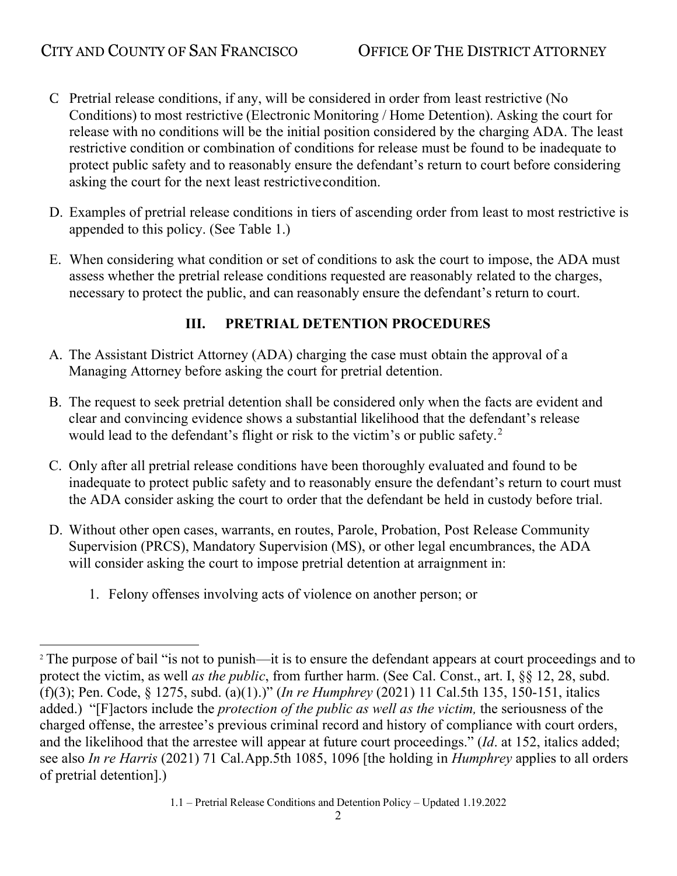- C. Pretrial release conditions, if any, will be considered in order from least restrictive (No Conditions) to most restrictive (Electronic Monitoring / Home Detention). Asking the court for release with no conditions will be the initial position considered by the charging ADA. The least restrictive condition or combination of conditions for release must be found to be inadequate to protect public safety and to reasonably ensure the defendant's return to court before considering asking the court for the next least restrictive condition.
- D. Examples of pretrial release conditions in tiers of ascending order from least to most restrictive is appended to this policy. (See Table 1.)
- E. When considering what condition or set of conditions to ask the court to impose, the ADA must assess whether the pretrial release conditions requested are reasonably related to the charges, necessary to protect the public, and can reasonably ensure the defendant's return to court.

# **III. PRETRIAL DETENTION PROCEDURES**

- A. The Assistant District Attorney (ADA) charging the case must obtain the approval of a Managing Attorney before asking the court for pretrial detention.
- B. The request to seek pretrial detention shall be considered only when the facts are evident and clear and convincing evidence shows a substantial likelihood that the defendant's release would lead to the defendant's flight or risk to the victim's or public safety.<sup>[2](#page-1-0)</sup>
- C. Only after all pretrial release conditions have been thoroughly evaluated and found to be inadequate to protect public safety and to reasonably ensure the defendant's return to court must the ADA consider asking the court to order that the defendant be held in custody before trial.
- D. Without other open cases, warrants, en routes, Parole, Probation, Post Release Community Supervision (PRCS), Mandatory Supervision (MS), or other legal encumbrances, the ADA will consider asking the court to impose pretrial detention at arraignment in:
	- 1. Felony offenses involving acts of violence on another person; or

<span id="page-1-0"></span><sup>&</sup>lt;sup>2</sup> The purpose of bail "is not to punish—it is to ensure the defendant appears at court proceedings and to protect the victim, as well *as the public*, from further harm. (See Cal. Const., art. I, §§ 12, 28, subd. (f)(3); Pen. Code, § 1275, subd. (a)(1).)" (*In re Humphrey* (2021) 11 Cal.5th 135, 150-151, italics added.) "[F]actors include the *protection of the public as well as the victim,* the seriousness of the charged offense, the arrestee's previous criminal record and history of compliance with court orders, and the likelihood that the arrestee will appear at future court proceedings." (*Id*. at 152, italics added; see also *In re Harris* (2021) 71 Cal.App.5th 1085, 1096 [the holding in *Humphrey* applies to all orders of pretrial detention].)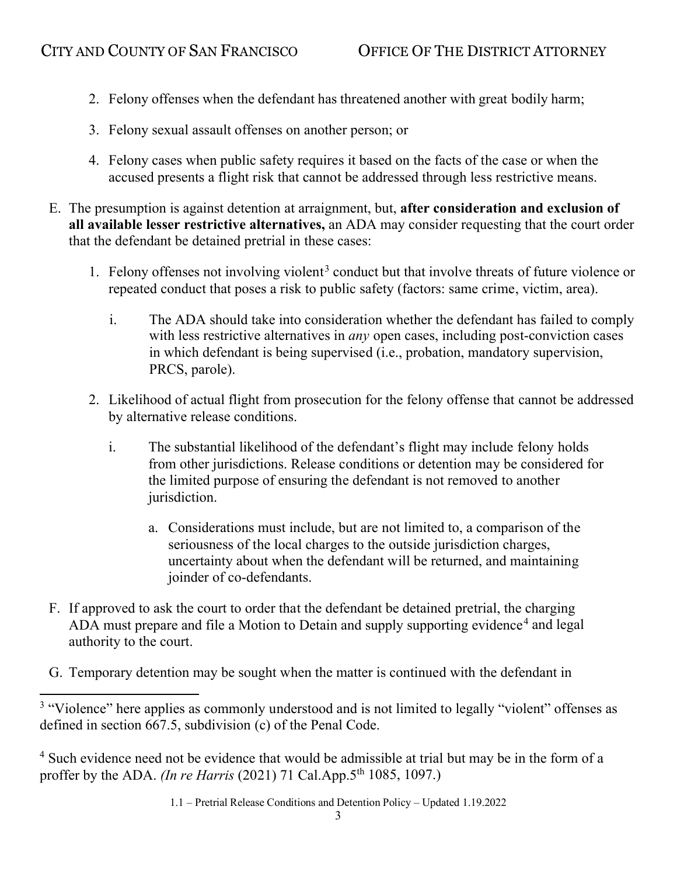- 2. Felony offenses when the defendant has threatened another with great bodily harm;
- 3. Felony sexual assault offenses on another person; or
- 4. Felony cases when public safety requires it based on the facts of the case or when the accused presents a flight risk that cannot be addressed through less restrictive means.
- E. The presumption is against detention at arraignment, but, **after consideration and exclusion of all available lesser restrictive alternatives,** an ADA may consider requesting that the court order that the defendant be detained pretrial in these cases:
	- 1. Felony offenses not involving violent<sup>[3](#page-2-0)</sup> conduct but that involve threats of future violence or repeated conduct that poses a risk to public safety (factors: same crime, victim, area).
		- i. The ADA should take into consideration whether the defendant has failed to comply with less restrictive alternatives in *any* open cases, including post-conviction cases in which defendant is being supervised (i.e., probation, mandatory supervision, PRCS, parole).
	- 2. Likelihood of actual flight from prosecution for the felony offense that cannot be addressed by alternative release conditions.
		- i. The substantial likelihood of the defendant's flight may include felony holds from other jurisdictions. Release conditions or detention may be considered for the limited purpose of ensuring the defendant is not removed to another jurisdiction.
			- a. Considerations must include, but are not limited to, a comparison of the seriousness of the local charges to the outside jurisdiction charges, uncertainty about when the defendant will be returned, and maintaining joinder of co-defendants.
- F. If approved to ask the court to order that the defendant be detained pretrial, the charging ADA must prepare and file a Motion to Detain and supply supporting evidence<sup>[4](#page-2-1)</sup> and legal authority to the court.
- G. Temporary detention may be sought when the matter is continued with the defendant in

<span id="page-2-0"></span><sup>&</sup>lt;sup>3</sup> "Violence" here applies as commonly understood and is not limited to legally "violent" offenses as defined in section 667.5, subdivision (c) of the Penal Code.

<span id="page-2-1"></span><sup>4</sup> Such evidence need not be evidence that would be admissible at trial but may be in the form of a proffer by the ADA. *(In re Harris* (2021) 71 Cal.App.5th 1085, 1097.)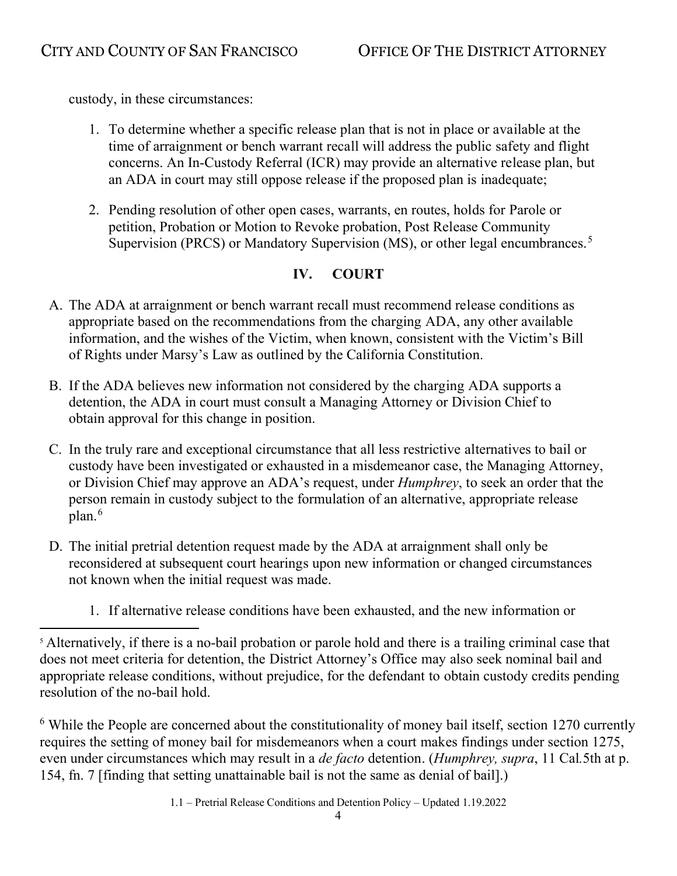custody, in these circumstances:

- 1. To determine whether a specific release plan that is not in place or available at the time of arraignment or bench warrant recall will address the public safety and flight concerns. An In-Custody Referral (ICR) may provide an alternative release plan, but an ADA in court may still oppose release if the proposed plan is inadequate;
- 2. Pending resolution of other open cases, warrants, en routes, holds for Parole or petition, Probation or Motion to Revoke probation, Post Release Community Supervision (PRCS) or Mandatory Supervision (MS), or other legal encumbrances.<sup>[5](#page-3-0)</sup>

## **IV. COURT**

- A. The ADA at arraignment or bench warrant recall must recommend release conditions as appropriate based on the recommendations from the charging ADA, any other available information, and the wishes of the Victim, when known, consistent with the Victim's Bill of Rights under Marsy's Law as outlined by the California Constitution.
- B. If the ADA believes new information not considered by the charging ADA supports a detention, the ADA in court must consult a Managing Attorney or Division Chief to obtain approval for this change in position.
- C. In the truly rare and exceptional circumstance that all less restrictive alternatives to bail or custody have been investigated or exhausted in a misdemeanor case, the Managing Attorney, or Division Chief may approve an ADA's request, under *Humphrey*, to seek an order that the person remain in custody subject to the formulation of an alternative, appropriate release plan.<sup>[6](#page-3-1)</sup>
- D. The initial pretrial detention request made by the ADA at arraignment shall only be reconsidered at subsequent court hearings upon new information or changed circumstances not known when the initial request was made.
	- 1. If alternative release conditions have been exhausted, and the new information or

<span id="page-3-1"></span> $6$  While the People are concerned about the constitutionality of money bail itself, section 1270 currently requires the setting of money bail for misdemeanors when a court makes findings under section 1275, even under circumstances which may result in a *de facto* detention. (*Humphrey, supra*, 11 Cal*.*5th at p. 154, fn. 7 [finding that setting unattainable bail is not the same as denial of bail].)

<span id="page-3-0"></span><sup>&</sup>lt;sup>5</sup> Alternatively, if there is a no-bail probation or parole hold and there is a trailing criminal case that does not meet criteria for detention, the District Attorney's Office may also seek nominal bail and appropriate release conditions, without prejudice, for the defendant to obtain custody credits pending resolution of the no-bail hold.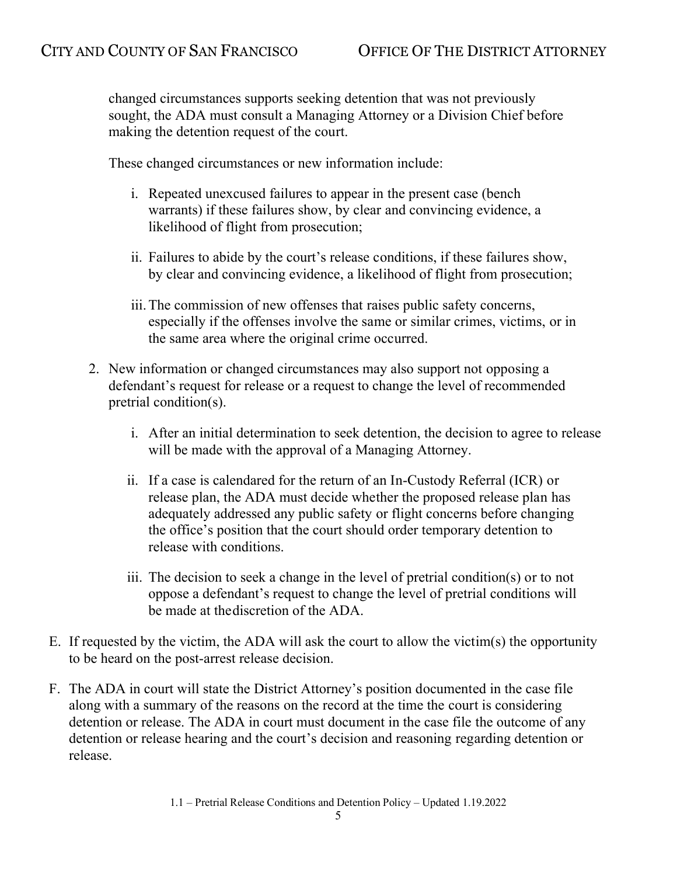changed circumstances supports seeking detention that was not previously sought, the ADA must consult a Managing Attorney or a Division Chief before making the detention request of the court.

These changed circumstances or new information include:

- i. Repeated unexcused failures to appear in the present case (bench warrants) if these failures show, by clear and convincing evidence, a likelihood of flight from prosecution;
- ii. Failures to abide by the court's release conditions, if these failures show, by clear and convincing evidence, a likelihood of flight from prosecution;
- iii.The commission of new offenses that raises public safety concerns, especially if the offenses involve the same or similar crimes, victims, or in the same area where the original crime occurred.
- 2. New information or changed circumstances may also support not opposing a defendant's request for release or a request to change the level of recommended pretrial condition(s).
	- i. After an initial determination to seek detention, the decision to agree to release will be made with the approval of a Managing Attorney.
	- ii. If a case is calendared for the return of an In-Custody Referral (ICR) or release plan, the ADA must decide whether the proposed release plan has adequately addressed any public safety or flight concerns before changing the office's position that the court should order temporary detention to release with conditions.
	- iii. The decision to seek a change in the level of pretrial condition(s) or to not oppose a defendant's request to change the level of pretrial conditions will be made at the discretion of the ADA.
- E. If requested by the victim, the ADA will ask the court to allow the victim(s) the opportunity to be heard on the post-arrest release decision.
- F. The ADA in court will state the District Attorney's position documented in the case file along with a summary of the reasons on the record at the time the court is considering detention or release. The ADA in court must document in the case file the outcome of any detention or release hearing and the court's decision and reasoning regarding detention or release.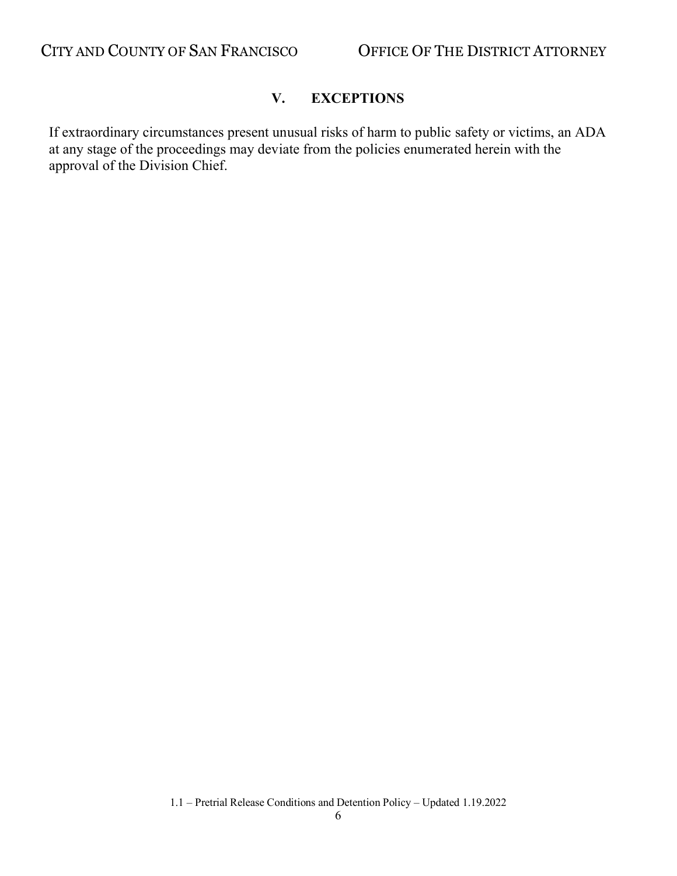### **V. EXCEPTIONS**

If extraordinary circumstances present unusual risks of harm to public safety or victims, an ADA at any stage of the proceedings may deviate from the policies enumerated herein with the approval of the Division Chief.